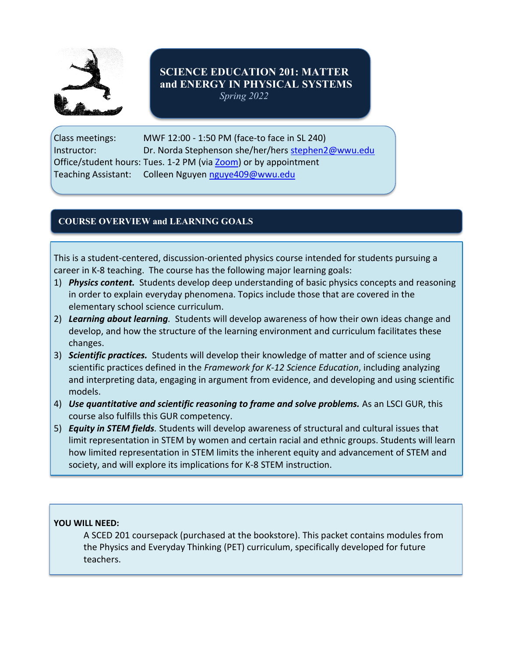

# **SCIENCE EDUCATION 201: MATTER and ENERGY IN PHYSICAL SYSTEMS**

*Spring 2022*

Class meetings: MWF 12:00 - 1:50 PM (face-to face in SL 240) Instructor: Dr. Norda Stephenson she/her/hers [stephen2@wwu.edu](mailto:stephen2@wwu.edu) Office/student hours: Tues. 1-2 PM (via [Zoom\)](https://wwu-edu.zoom.us/j/92899153076?pwd=VGwzYjRFTDdBZnQzNTJhMVRWVEMrdz09) or by appointment Teaching Assistant: Colleen Nguyen [nguye409@wwu.edu](mailto:nguye409@wwu.edu)

## **COURSE OVERVIEW and LEARNING GOALS**

This is a student-centered, discussion-oriented physics course intended for students pursuing a career in K-8 teaching. The course has the following major learning goals:

- 1) *Physics content.* Students develop deep understanding of basic physics concepts and reasoning in order to explain everyday phenomena. Topics include those that are covered in the elementary school science curriculum.
- 2) *Learning about learning.* Students will develop awareness of how their own ideas change and develop, and how the structure of the learning environment and curriculum facilitates these changes.
- 3) *Scientific practices.* Students will develop their knowledge of matter and of science using scientific practices defined in the *Framework for K-12 Science Education*, including analyzing and interpreting data, engaging in argument from evidence, and developing and using scientific models.
- 4) *Use quantitative and scientific reasoning to frame and solve problems.* As an LSCI GUR, this course also fulfills this GUR competency.
- 5) *Equity in STEM fields.* Students will develop awareness of structural and cultural issues that limit representation in STEM by women and certain racial and ethnic groups. Students will learn how limited representation in STEM limits the inherent equity and advancement of STEM and society, and will explore its implications for K-8 STEM instruction.

## **YOU WILL NEED:**

A SCED 201 coursepack (purchased at the bookstore). This packet contains modules from the Physics and Everyday Thinking (PET) curriculum, specifically developed for future teachers.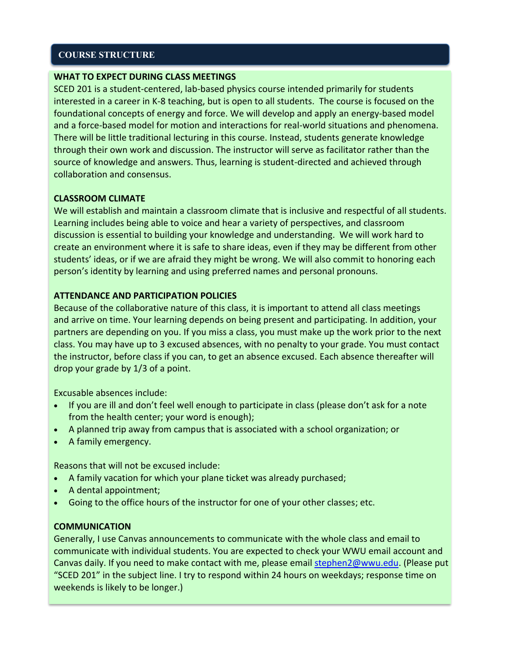## **COURSE STRUCTURE**

#### **WHAT TO EXPECT DURING CLASS MEETINGS**

SCED 201 is a student-centered, lab-based physics course intended primarily for students interested in a career in K-8 teaching, but is open to all students. The course is focused on the foundational concepts of energy and force. We will develop and apply an energy-based model and a force-based model for motion and interactions for real-world situations and phenomena. There will be little traditional lecturing in this course. Instead, students generate knowledge through their own work and discussion. The instructor will serve as facilitator rather than the source of knowledge and answers. Thus, learning is student-directed and achieved through collaboration and consensus.

#### **CLASSROOM CLIMATE**

We will establish and maintain a classroom climate that is inclusive and respectful of all students. Learning includes being able to voice and hear a variety of perspectives, and classroom discussion is essential to building your knowledge and understanding. We will work hard to create an environment where it is safe to share ideas, even if they may be different from other students' ideas, or if we are afraid they might be wrong. We will also commit to honoring each person's identity by learning and using preferred names and personal pronouns.

#### **ATTENDANCE AND PARTICIPATION POLICIES**

Because of the collaborative nature of this class, it is important to attend all class meetings and arrive on time. Your learning depends on being present and participating. In addition, your partners are depending on you. If you miss a class, you must make up the work prior to the next class. You may have up to 3 excused absences, with no penalty to your grade. You must contact the instructor, before class if you can, to get an absence excused. Each absence thereafter will drop your grade by 1/3 of a point.

Excusable absences include:

- If you are ill and don't feel well enough to participate in class (please don't ask for a note from the health center; your word is enough);
- A planned trip away from campus that is associated with a school organization; or
- A family emergency.

Reasons that will not be excused include:

- A family vacation for which your plane ticket was already purchased;
- A dental appointment;
- Going to the office hours of the instructor for one of your other classes; etc.

#### **COMMUNICATION**

Generally, I use Canvas announcements to communicate with the whole class and email to communicate with individual students. You are expected to check your WWU email account and Canvas daily. If you need to make contact with me, please email [stephen2@wwu.edu.](mailto:stephen2@wwu.edu) (Please put "SCED 201" in the subject line. I try to respond within 24 hours on weekdays; response time on weekends is likely to be longer.)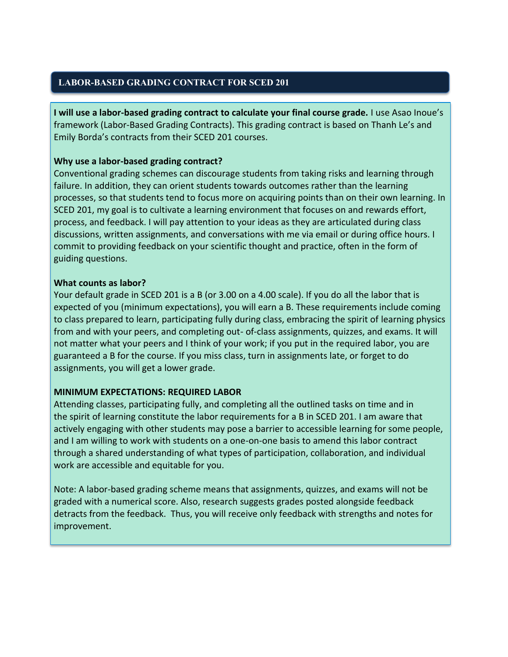## **LABOR-BASED GRADING CONTRACT FOR SCED 201**

**I will use a labor-based grading contract to calculate your final course grade.** I use Asao Inoue's framework (Labor-Based Grading Contracts). This grading contract is based on Thanh Le's and Emily Borda's contracts from their SCED 201 courses.

## **Why use a labor-based grading contract?**

Conventional grading schemes can discourage students from taking risks and learning through failure. In addition, they can orient students towards outcomes rather than the learning processes, so that students tend to focus more on acquiring points than on their own learning. In SCED 201, my goal is to cultivate a learning environment that focuses on and rewards effort, process, and feedback. I will pay attention to your ideas as they are articulated during class discussions, written assignments, and conversations with me via email or during office hours. I commit to providing feedback on your scientific thought and practice, often in the form of guiding questions.

## **What counts as labor?**

Your default grade in SCED 201 is a B (or 3.00 on a 4.00 scale). If you do all the labor that is expected of you (minimum expectations), you will earn a B. These requirements include coming to class prepared to learn, participating fully during class, embracing the spirit of learning physics from and with your peers, and completing out- of-class assignments, quizzes, and exams. It will not matter what your peers and I think of your work; if you put in the required labor, you are guaranteed a B for the course. If you miss class, turn in assignments late, or forget to do assignments, you will get a lower grade.

#### **MINIMUM EXPECTATIONS: REQUIRED LABOR**

Attending classes, participating fully, and completing all the outlined tasks on time and in the spirit of learning constitute the labor requirements for a B in SCED 201. I am aware that actively engaging with other students may pose a barrier to accessible learning for some people, and I am willing to work with students on a one-on-one basis to amend this labor contract through a shared understanding of what types of participation, collaboration, and individual work are accessible and equitable for you.

Note: A labor-based grading scheme means that assignments, quizzes, and exams will not be graded with a numerical score. Also, research suggests grades posted alongside feedback detracts from the feedback. Thus, you will receive only feedback with strengths and notes for improvement.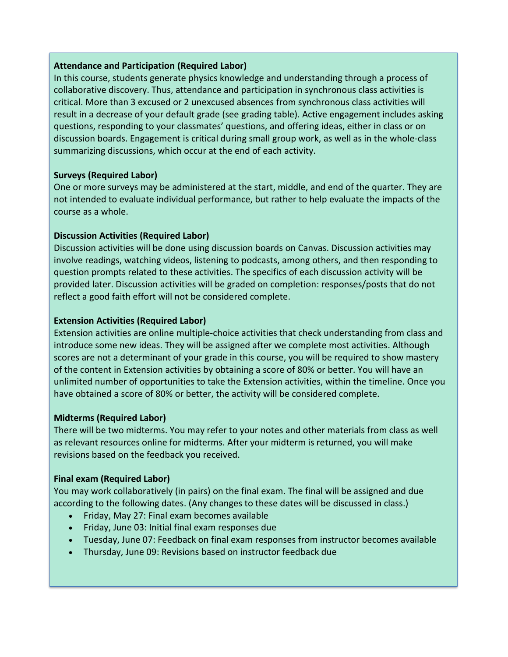## **Attendance and Participation (Required Labor)**

In this course, students generate physics knowledge and understanding through a process of collaborative discovery. Thus, attendance and participation in synchronous class activities is critical. More than 3 excused or 2 unexcused absences from synchronous class activities will result in a decrease of your default grade (see grading table). Active engagement includes asking questions, responding to your classmates' questions, and offering ideas, either in class or on discussion boards. Engagement is critical during small group work, as well as in the whole-class summarizing discussions, which occur at the end of each activity.

## **Surveys (Required Labor)**

One or more surveys may be administered at the start, middle, and end of the quarter. They are not intended to evaluate individual performance, but rather to help evaluate the impacts of the course as a whole.

## **Discussion Activities (Required Labor)**

Discussion activities will be done using discussion boards on Canvas. Discussion activities may involve readings, watching videos, listening to podcasts, among others, and then responding to question prompts related to these activities. The specifics of each discussion activity will be provided later. Discussion activities will be graded on completion: responses/posts that do not reflect a good faith effort will not be considered complete.

## **Extension Activities (Required Labor)**

Extension activities are online multiple-choice activities that check understanding from class and introduce some new ideas. They will be assigned after we complete most activities. Although scores are not a determinant of your grade in this course, you will be required to show mastery of the content in Extension activities by obtaining a score of 80% or better. You will have an unlimited number of opportunities to take the Extension activities, within the timeline. Once you have obtained a score of 80% or better, the activity will be considered complete.

#### **Midterms (Required Labor)**

There will be two midterms. You may refer to your notes and other materials from class as well as relevant resources online for midterms. After your midterm is returned, you will make revisions based on the feedback you received.

## **Final exam (Required Labor)**

You may work collaboratively (in pairs) on the final exam. The final will be assigned and due according to the following dates. (Any changes to these dates will be discussed in class.)

- Friday, May 27: Final exam becomes available
- Friday, June 03: Initial final exam responses due
- Tuesday, June 07: Feedback on final exam responses from instructor becomes available
- Thursday, June 09: Revisions based on instructor feedback due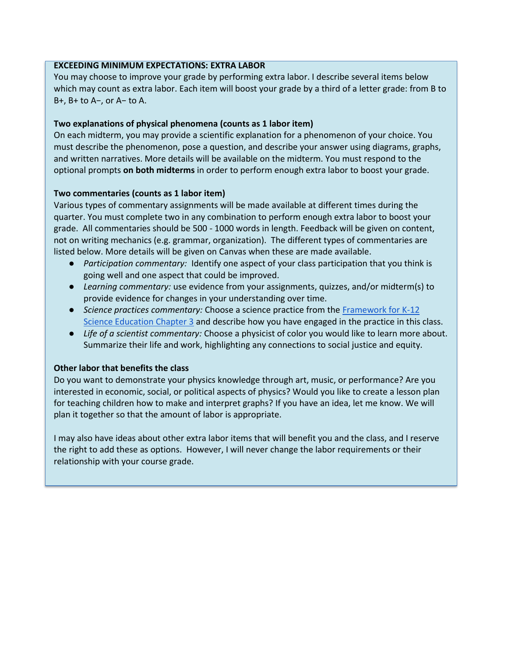#### **EXCEEDING MINIMUM EXPECTATIONS: EXTRA LABOR**

You may choose to improve your grade by performing extra labor. I describe several items below which may count as extra labor. Each item will boost your grade by a third of a letter grade: from B to B+, B+ to A−, or A− to A.

#### **Two explanations of physical phenomena (counts as 1 labor item)**

On each midterm, you may provide a scientific explanation for a phenomenon of your choice. You must describe the phenomenon, pose a question, and describe your answer using diagrams, graphs, and written narratives. More details will be available on the midterm. You must respond to the optional prompts **on both midterms** in order to perform enough extra labor to boost your grade.

#### **Two commentaries (counts as 1 labor item)**

Various types of commentary assignments will be made available at different times during the quarter. You must complete two in any combination to perform enough extra labor to boost your grade. All commentaries should be 500 - 1000 words in length. Feedback will be given on content, not on writing mechanics (e.g. grammar, organization). The different types of commentaries are listed below. More details will be given on Canvas when these are made available.

- *Participation commentary:* Identify one aspect of your class participation that you think is going well and one aspect that could be improved.
- *Learning commentary:* use evidence from your assignments, quizzes, and/or midterm(s) to provide evidence for changes in your understanding over time.
- *Science practices commentary:* Choose a science practice from the [Framework for K-12](https://www.nap.edu/read/13165/chapter/7)  [Science Education Chapter 3](https://www.nap.edu/read/13165/chapter/7) and describe how you have engaged in the practice in this class.
- *Life of a scientist commentary:* Choose a physicist of color you would like to learn more about. Summarize their life and work, highlighting any connections to social justice and equity.

#### **Other labor that benefits the class**

Do you want to demonstrate your physics knowledge through art, music, or performance? Are you interested in economic, social, or political aspects of physics? Would you like to create a lesson plan for teaching children how to make and interpret graphs? If you have an idea, let me know. We will plan it together so that the amount of labor is appropriate.

I may also have ideas about other extra labor items that will benefit you and the class, and I reserve the right to add these as options. However, I will never change the labor requirements or their relationship with your course grade.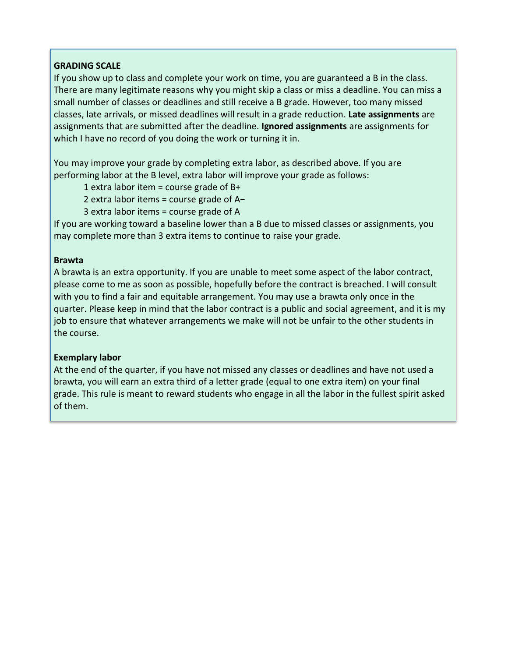## **GRADING SCALE**

If you show up to class and complete your work on time, you are guaranteed a B in the class. There are many legitimate reasons why you might skip a class or miss a deadline. You can miss a small number of classes or deadlines and still receive a B grade. However, too many missed classes, late arrivals, or missed deadlines will result in a grade reduction. **Late assignments** are assignments that are submitted after the deadline. **Ignored assignments** are assignments for which I have no record of you doing the work or turning it in.

You may improve your grade by completing extra labor, as described above. If you are performing labor at the B level, extra labor will improve your grade as follows:

1 extra labor item = course grade of  $B+$ 

2 extra labor items = course grade of A−

3 extra labor items = course grade of A

If you are working toward a baseline lower than a B due to missed classes or assignments, you may complete more than 3 extra items to continue to raise your grade.

#### **Brawta**

A brawta is an extra opportunity. If you are unable to meet some aspect of the labor contract, please come to me as soon as possible, hopefully before the contract is breached. I will consult with you to find a fair and equitable arrangement. You may use a brawta only once in the quarter. Please keep in mind that the labor contract is a public and social agreement, and it is my job to ensure that whatever arrangements we make will not be unfair to the other students in the course.

#### **Exemplary labor**

At the end of the quarter, if you have not missed any classes or deadlines and have not used a brawta, you will earn an extra third of a letter grade (equal to one extra item) on your final grade. This rule is meant to reward students who engage in all the labor in the fullest spirit asked of them.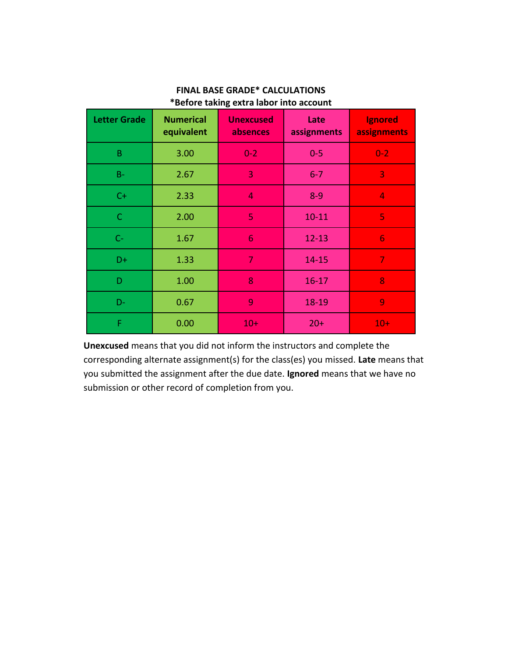| <b>Letter Grade</b> | <b>Numerical</b><br>equivalent | <b>Unexcused</b><br>absences | Late<br>assignments | Ignored<br>assignments |
|---------------------|--------------------------------|------------------------------|---------------------|------------------------|
| $\sf B$             | 3.00                           | $0 - 2$                      | $0 - 5$             | $0 - 2$                |
| $B -$               | 2.67                           | 3                            | $6 - 7$             | 3                      |
| $C+$                | 2.33                           | 4                            | $8 - 9$             | 4                      |
| $\mathsf C$         | 2.00                           | 5                            | $10 - 11$           | 5                      |
| $C-$                | 1.67                           | 6                            | $12 - 13$           | 6                      |
| D+                  | 1.33                           | $\overline{7}$               | $14 - 15$           | $\overline{7}$         |
| D                   | 1.00                           | 8                            | $16 - 17$           | 8                      |
| D-                  | 0.67                           | 9                            | 18-19               | 9                      |
| F                   | 0.00                           | $10+$                        | $20+$               | $10+$                  |

## **FINAL BASE GRADE\* CALCULATIONS \*Before taking extra labor into account**

**Unexcused** means that you did not inform the instructors and complete the corresponding alternate assignment(s) for the class(es) you missed. **Late** means that you submitted the assignment after the due date. **Ignored** means that we have no submission or other record of completion from you.